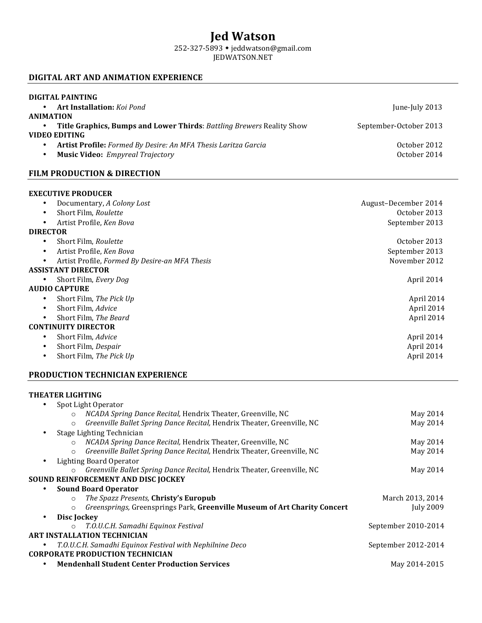# **Jed Watson**

252-327-5893 w jeddwatson@gmail.com

## JEDWATSON.NET

## **DIGITAL ART AND ANIMATION EXPERIENCE**

| <b>DIGITAL PAINTING</b>                                               |                        |
|-----------------------------------------------------------------------|------------------------|
| <b>Art Installation:</b> Koi Pond                                     | June-July 2013         |
| <b>ANIMATION</b>                                                      |                        |
| Title Graphics, Bumps and Lower Thirds: Battling Brewers Reality Show | September-October 2013 |
| VIDEO EDITING                                                         |                        |
| Artist Profile: Formed By Desire: An MFA Thesis Laritza Garcia        | October 2012           |
| <b>Music Video:</b> Empyreal Trajectory                               | October 2014           |
|                                                                       |                        |

## **FILM PRODUCTION & DIRECTION**

### **EXECUTIVE PRODUCER**

| Artist Profile, Ken Bova<br>$\bullet$<br><b>DIRECTOR</b><br>Short Film, Roulette<br>٠<br>Artist Profile, Ken Bova<br>Artist Profile, Formed By Desire-an MFA Thesis<br><b>ASSISTANT DIRECTOR</b><br>Short Film, Every Dog<br>$\bullet$<br>AUDIO CAPTURE<br>Short Film, The Pick Up<br>Short Film. Advice<br>Short Film, The Beard<br><b>CONTINUITY DIRECTOR</b><br>Short Film, Advice<br>٠<br>Short Film, Despair<br>Short Film, The Pick Up |  | Documentary, A Colony Lost<br>Short Film, Roulette | August-December 2014<br>October 2013 |  |  |
|----------------------------------------------------------------------------------------------------------------------------------------------------------------------------------------------------------------------------------------------------------------------------------------------------------------------------------------------------------------------------------------------------------------------------------------------|--|----------------------------------------------------|--------------------------------------|--|--|
|                                                                                                                                                                                                                                                                                                                                                                                                                                              |  |                                                    | September 2013                       |  |  |
|                                                                                                                                                                                                                                                                                                                                                                                                                                              |  |                                                    |                                      |  |  |
|                                                                                                                                                                                                                                                                                                                                                                                                                                              |  |                                                    | October 2013                         |  |  |
|                                                                                                                                                                                                                                                                                                                                                                                                                                              |  |                                                    | September 2013                       |  |  |
|                                                                                                                                                                                                                                                                                                                                                                                                                                              |  |                                                    | November 2012                        |  |  |
|                                                                                                                                                                                                                                                                                                                                                                                                                                              |  |                                                    |                                      |  |  |
|                                                                                                                                                                                                                                                                                                                                                                                                                                              |  |                                                    | April 2014                           |  |  |
|                                                                                                                                                                                                                                                                                                                                                                                                                                              |  |                                                    |                                      |  |  |
|                                                                                                                                                                                                                                                                                                                                                                                                                                              |  |                                                    | April 2014                           |  |  |
|                                                                                                                                                                                                                                                                                                                                                                                                                                              |  |                                                    | April 2014                           |  |  |
|                                                                                                                                                                                                                                                                                                                                                                                                                                              |  |                                                    | April 2014                           |  |  |
|                                                                                                                                                                                                                                                                                                                                                                                                                                              |  |                                                    |                                      |  |  |
|                                                                                                                                                                                                                                                                                                                                                                                                                                              |  |                                                    | April 2014                           |  |  |
|                                                                                                                                                                                                                                                                                                                                                                                                                                              |  |                                                    | April 2014                           |  |  |
|                                                                                                                                                                                                                                                                                                                                                                                                                                              |  |                                                    | April 2014                           |  |  |

#### **PRODUCTION TECHNICIAN EXPERIENCE**

#### **THEATER LIGHTING**

| May 2014            |
|---------------------|
| May 2014            |
|                     |
| May 2014            |
| May 2014            |
|                     |
| May 2014            |
|                     |
|                     |
| March 2013, 2014    |
| July 2009           |
|                     |
| September 2010-2014 |
|                     |
| September 2012-2014 |
|                     |
| May 2014-2015       |
|                     |